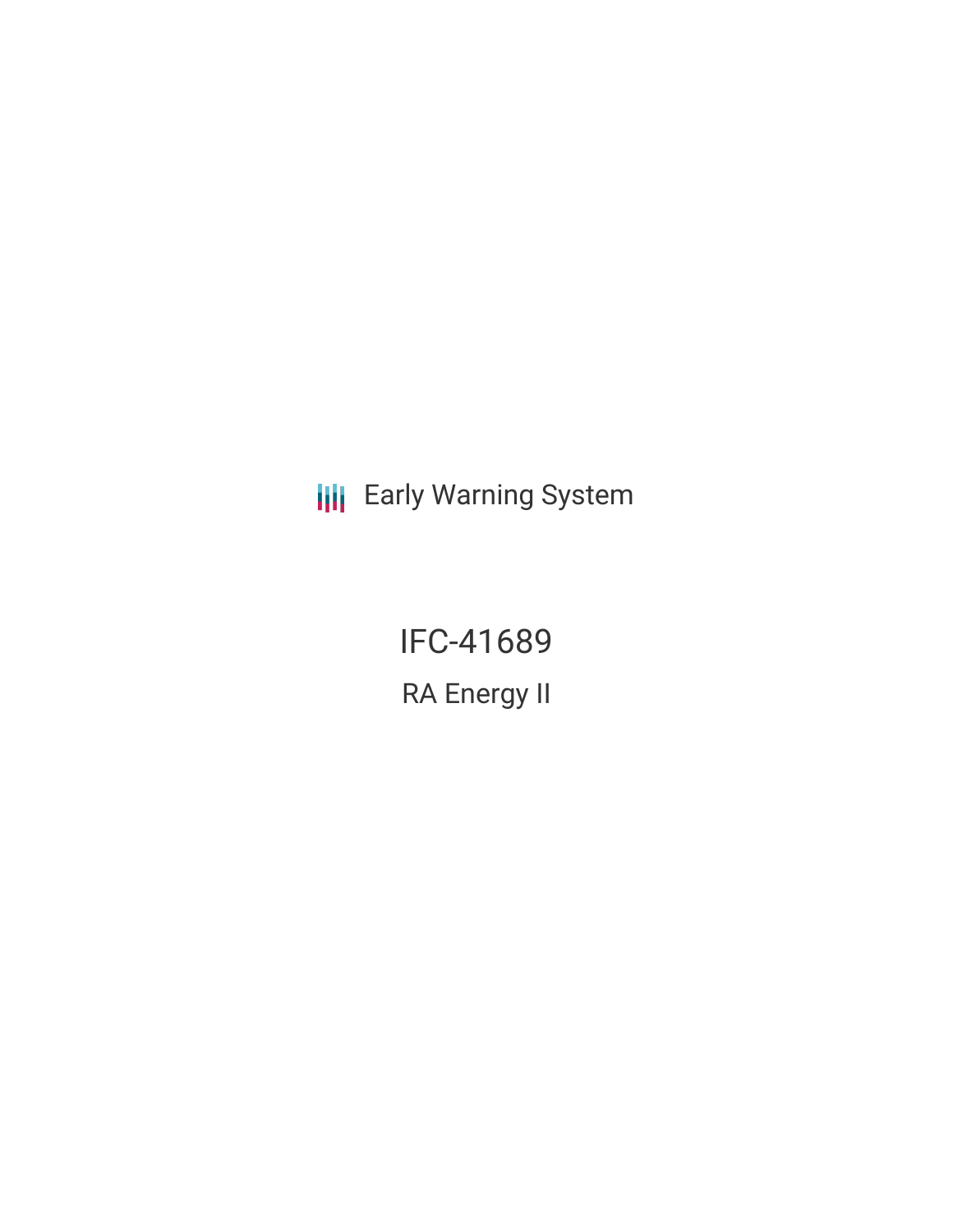**III** Early Warning System

IFC-41689 RA Energy II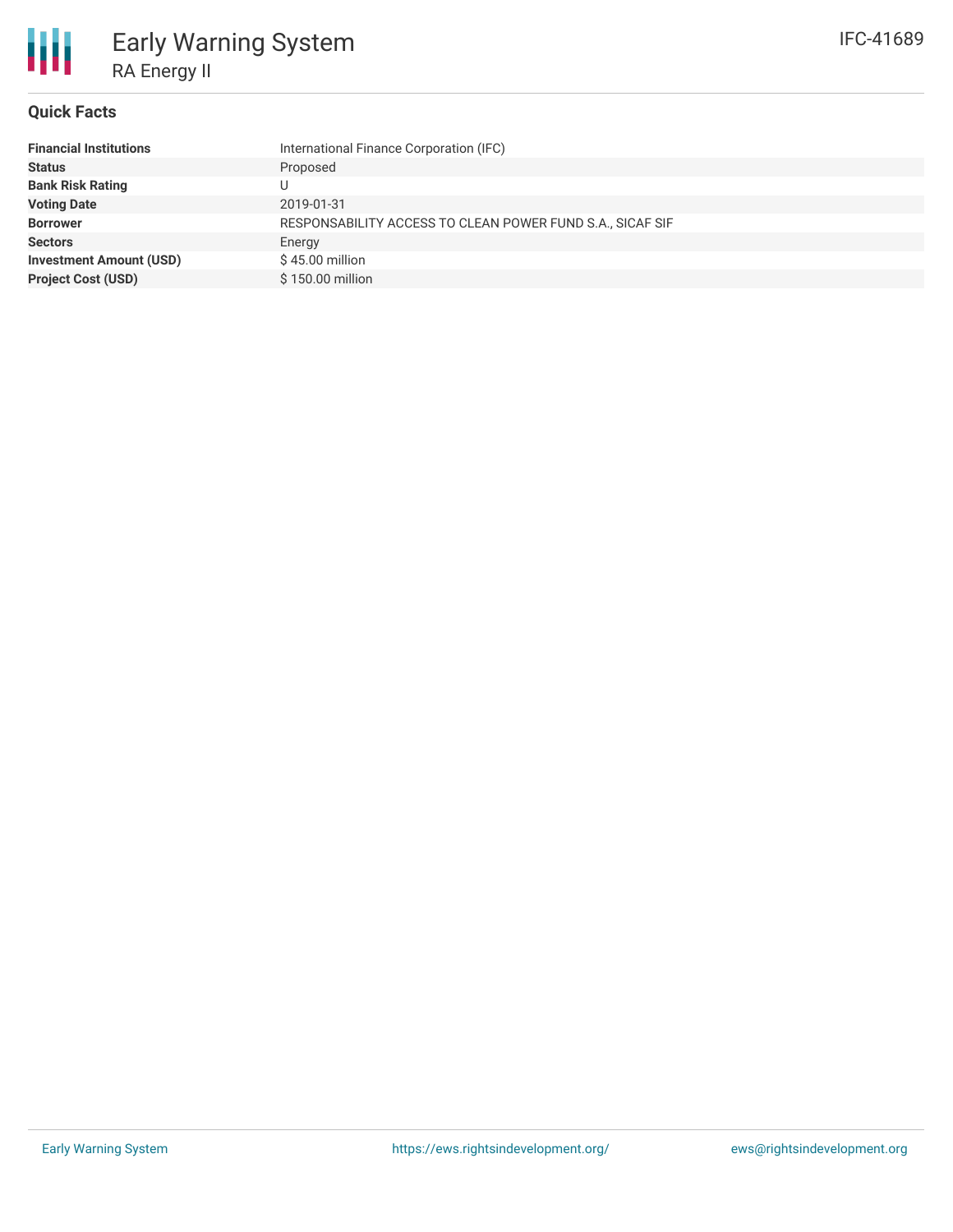## **Quick Facts**

| International Finance Corporation (IFC)                   |
|-----------------------------------------------------------|
| Proposed                                                  |
|                                                           |
| 2019-01-31                                                |
| RESPONSABILITY ACCESS TO CLEAN POWER FUND S.A., SICAF SIF |
| Energy                                                    |
| $$45.00$ million                                          |
| \$150.00 million                                          |
|                                                           |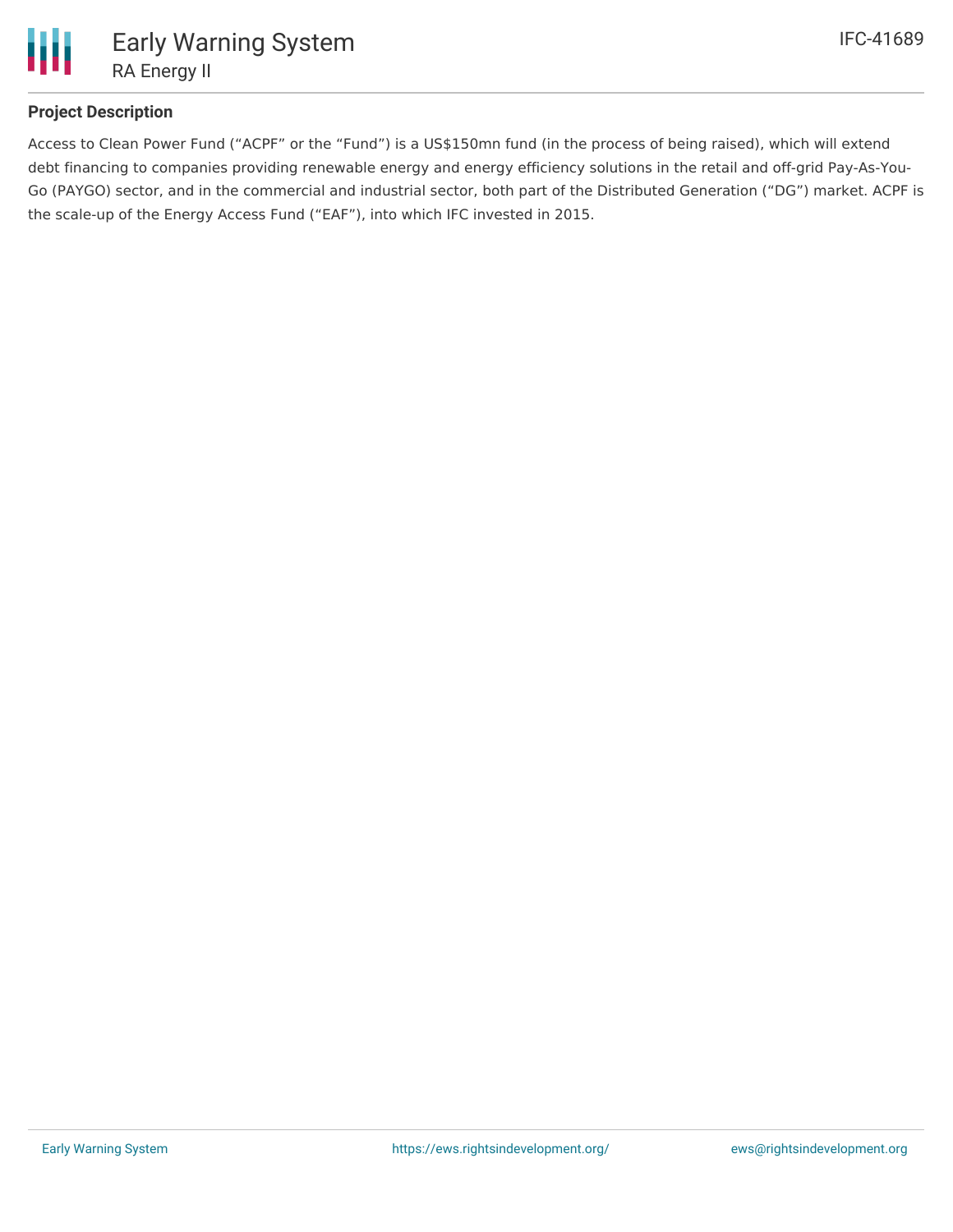

## **Project Description**

Access to Clean Power Fund ("ACPF" or the "Fund") is a US\$150mn fund (in the process of being raised), which will extend debt financing to companies providing renewable energy and energy efficiency solutions in the retail and off-grid Pay-As-You-Go (PAYGO) sector, and in the commercial and industrial sector, both part of the Distributed Generation ("DG") market. ACPF is the scale-up of the Energy Access Fund ("EAF"), into which IFC invested in 2015.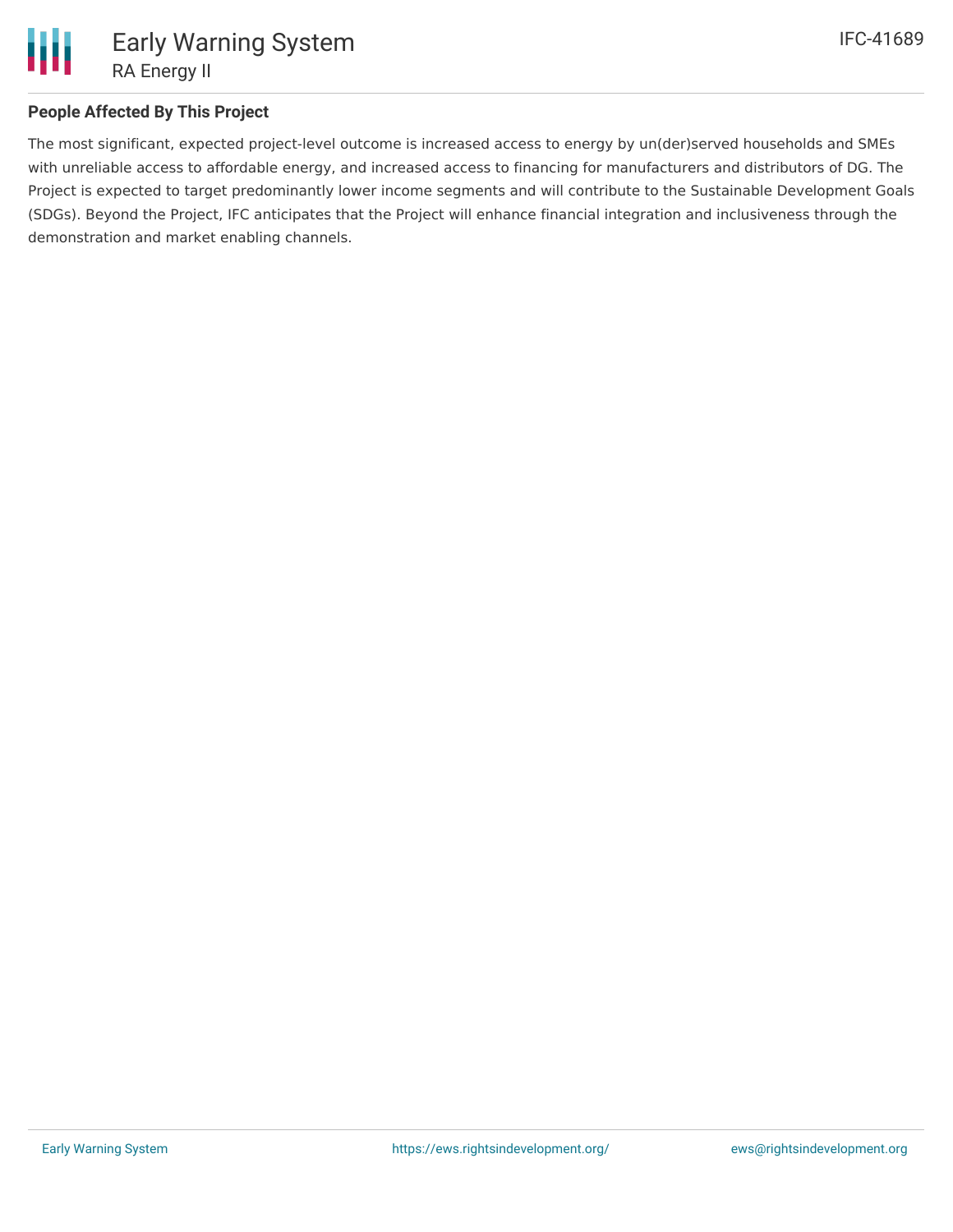

## **People Affected By This Project**

The most significant, expected project-level outcome is increased access to energy by un(der)served households and SMEs with unreliable access to affordable energy, and increased access to financing for manufacturers and distributors of DG. The Project is expected to target predominantly lower income segments and will contribute to the Sustainable Development Goals (SDGs). Beyond the Project, IFC anticipates that the Project will enhance financial integration and inclusiveness through the demonstration and market enabling channels.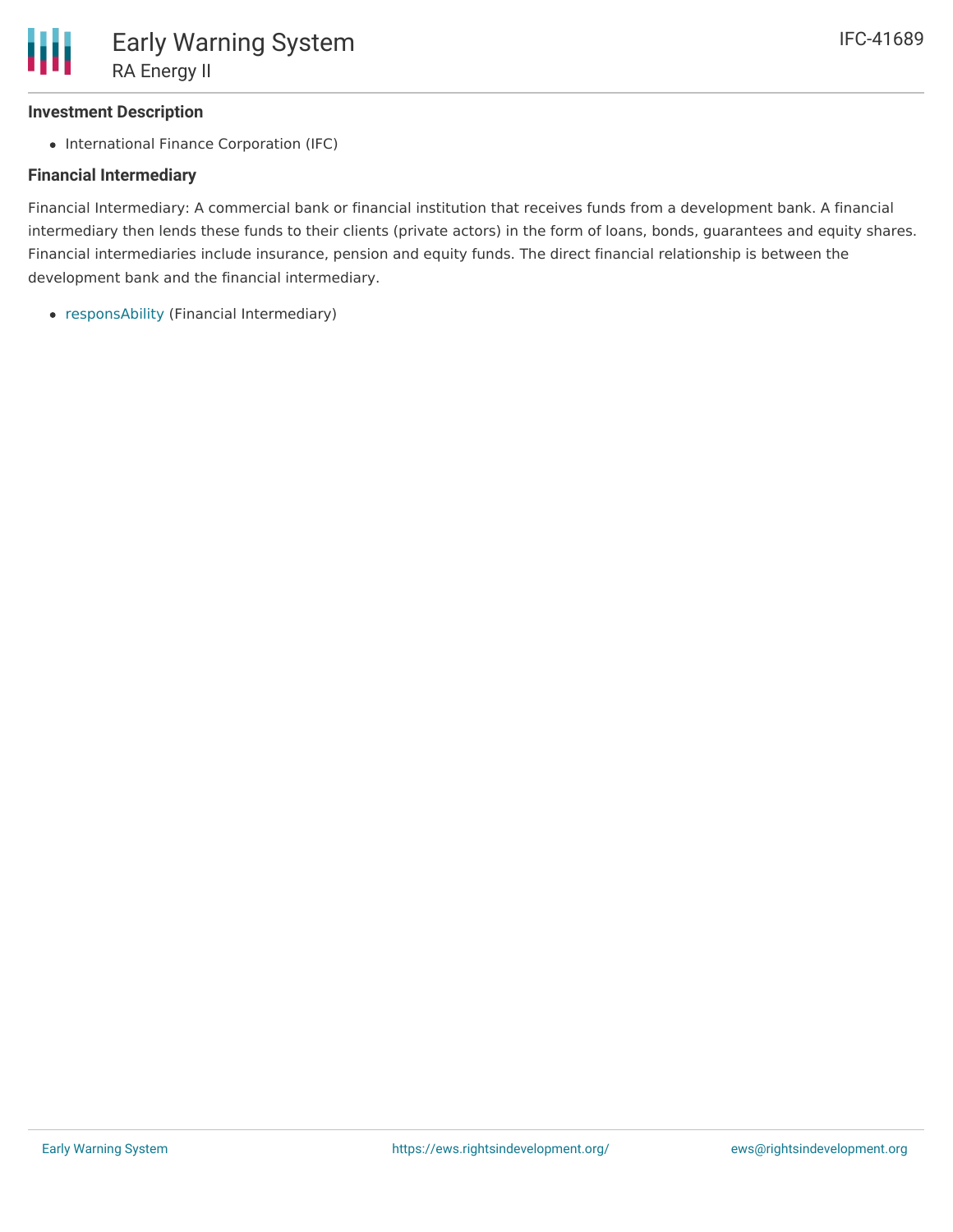# **Investment Description**

• International Finance Corporation (IFC)

# **Financial Intermediary**

Financial Intermediary: A commercial bank or financial institution that receives funds from a development bank. A financial intermediary then lends these funds to their clients (private actors) in the form of loans, bonds, guarantees and equity shares. Financial intermediaries include insurance, pension and equity funds. The direct financial relationship is between the development bank and the financial intermediary.

[responsAbility](file:///actor/1721/) (Financial Intermediary)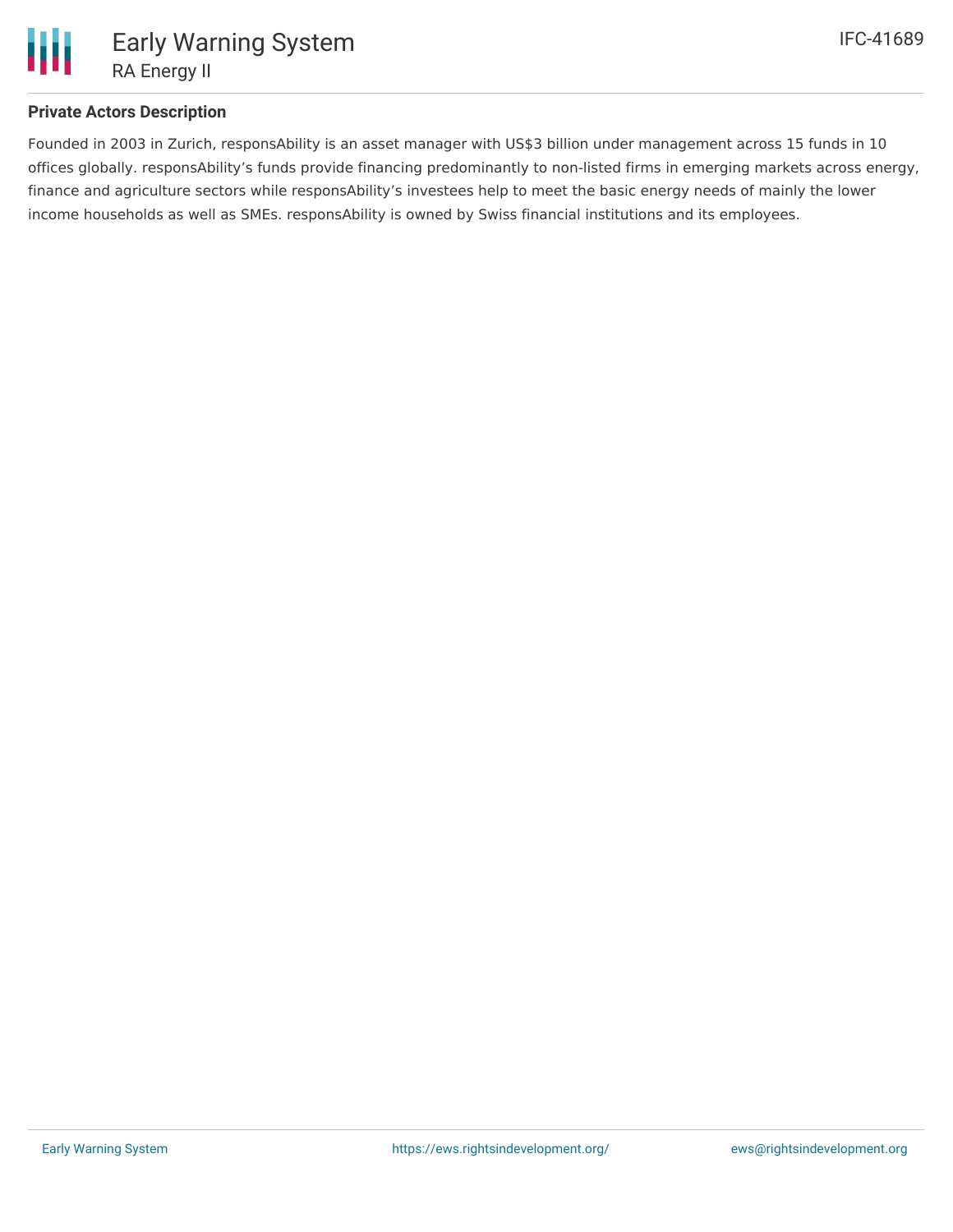

## **Private Actors Description**

Founded in 2003 in Zurich, responsAbility is an asset manager with US\$3 billion under management across 15 funds in 10 offices globally. responsAbility's funds provide financing predominantly to non-listed firms in emerging markets across energy, finance and agriculture sectors while responsAbility's investees help to meet the basic energy needs of mainly the lower income households as well as SMEs. responsAbility is owned by Swiss financial institutions and its employees.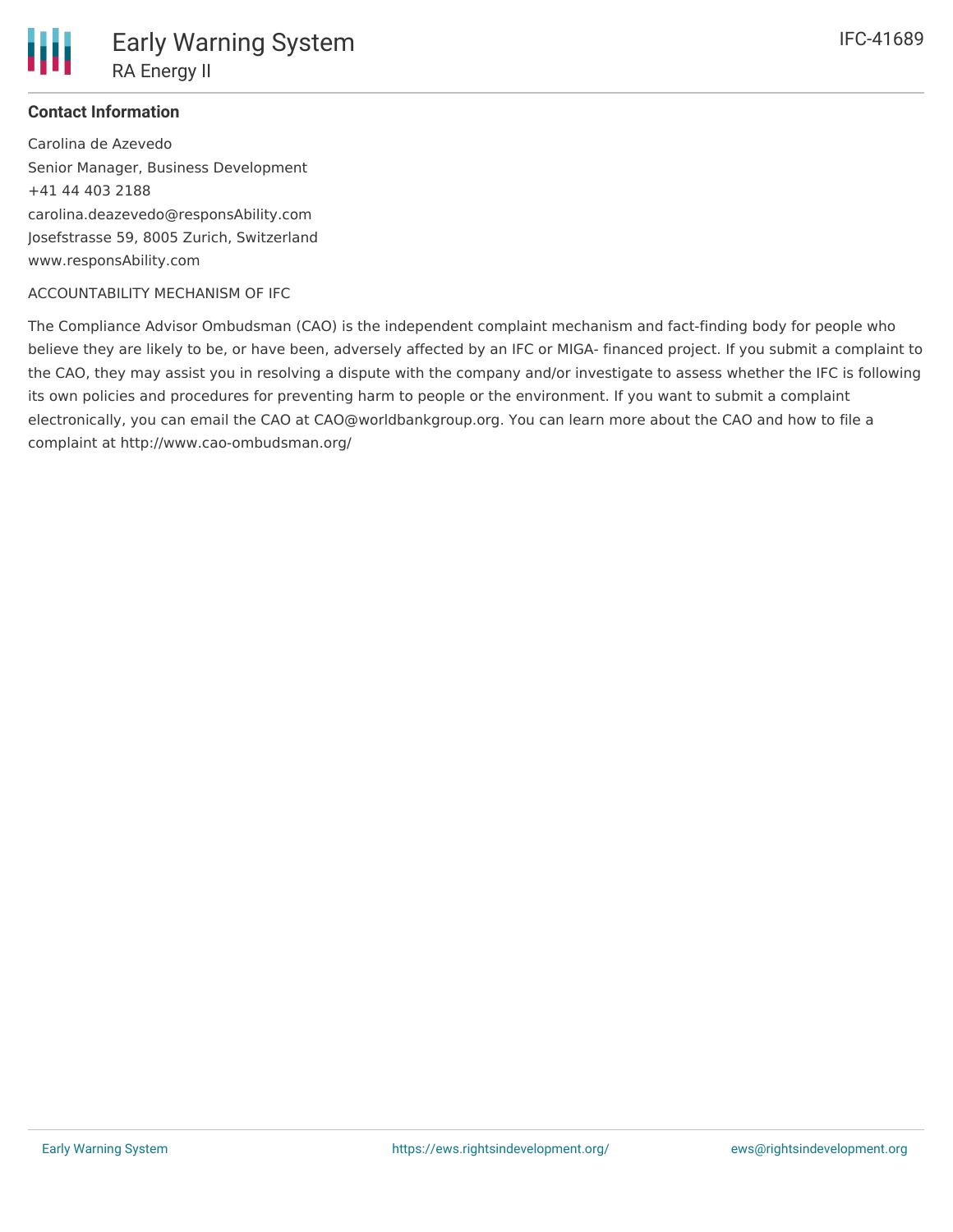

#### **Contact Information**

Carolina de Azevedo Senior Manager, Business Development +41 44 403 2188 carolina.deazevedo@responsAbility.com Josefstrasse 59, 8005 Zurich, Switzerland www.responsAbility.com

#### ACCOUNTABILITY MECHANISM OF IFC

The Compliance Advisor Ombudsman (CAO) is the independent complaint mechanism and fact-finding body for people who believe they are likely to be, or have been, adversely affected by an IFC or MIGA- financed project. If you submit a complaint to the CAO, they may assist you in resolving a dispute with the company and/or investigate to assess whether the IFC is following its own policies and procedures for preventing harm to people or the environment. If you want to submit a complaint electronically, you can email the CAO at CAO@worldbankgroup.org. You can learn more about the CAO and how to file a complaint at http://www.cao-ombudsman.org/